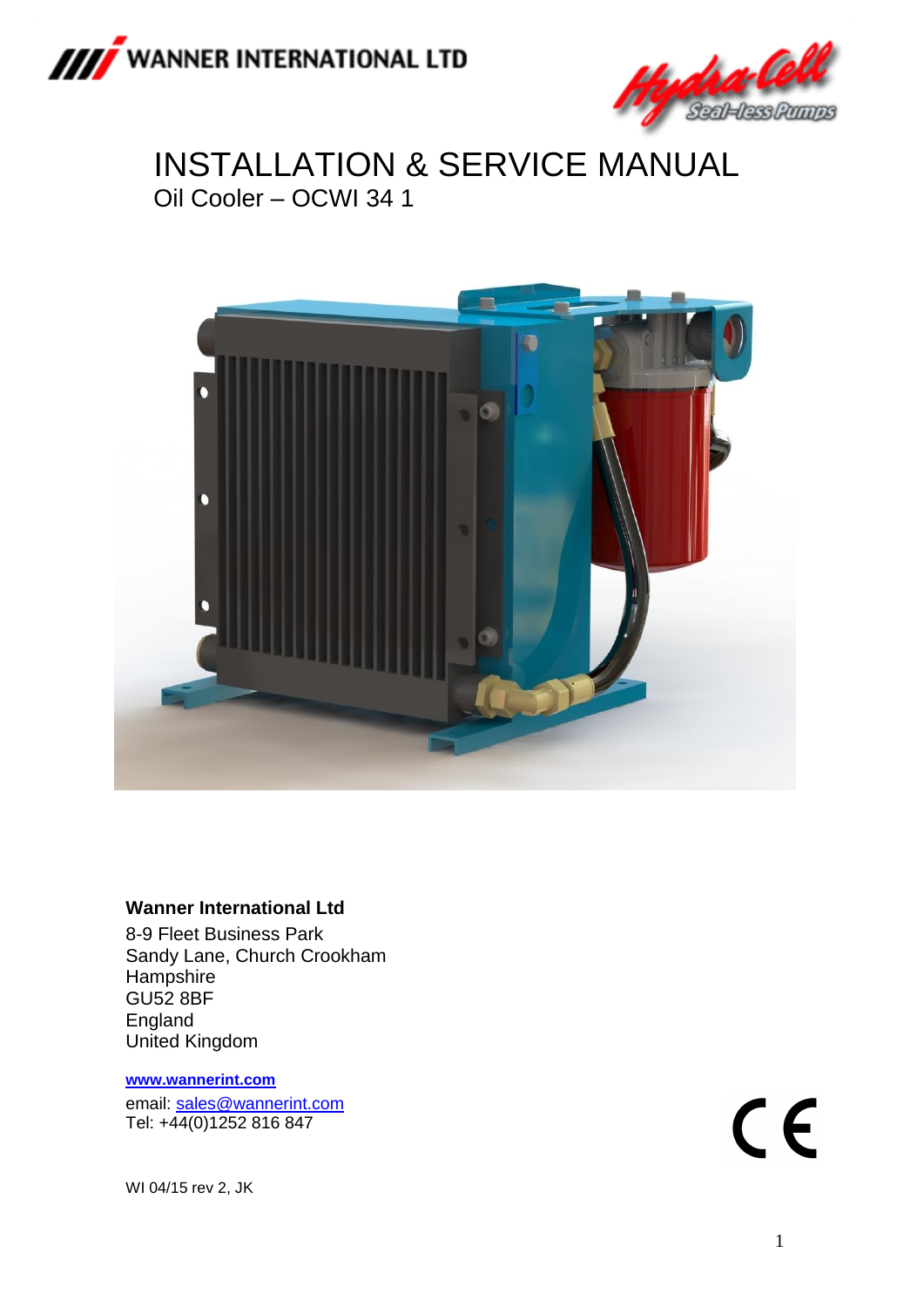



# INSTALLATION & SERVICE MANUAL Oil Cooler – OCWI 34 1



#### **Wanner International Ltd**

8-9 Fleet Business Park Sandy Lane, Church Crookham **Hampshire** GU52 8BF England United Kingdom

#### **[www.wannerint.com](http://www.wannerint.com/)**

email: [sales@wannerint.com](mailto:sales@wannerint.com) Tel: +44(0)1252 816 847

 $C<sub>f</sub>$ 

WI 04/15 rev 2, JK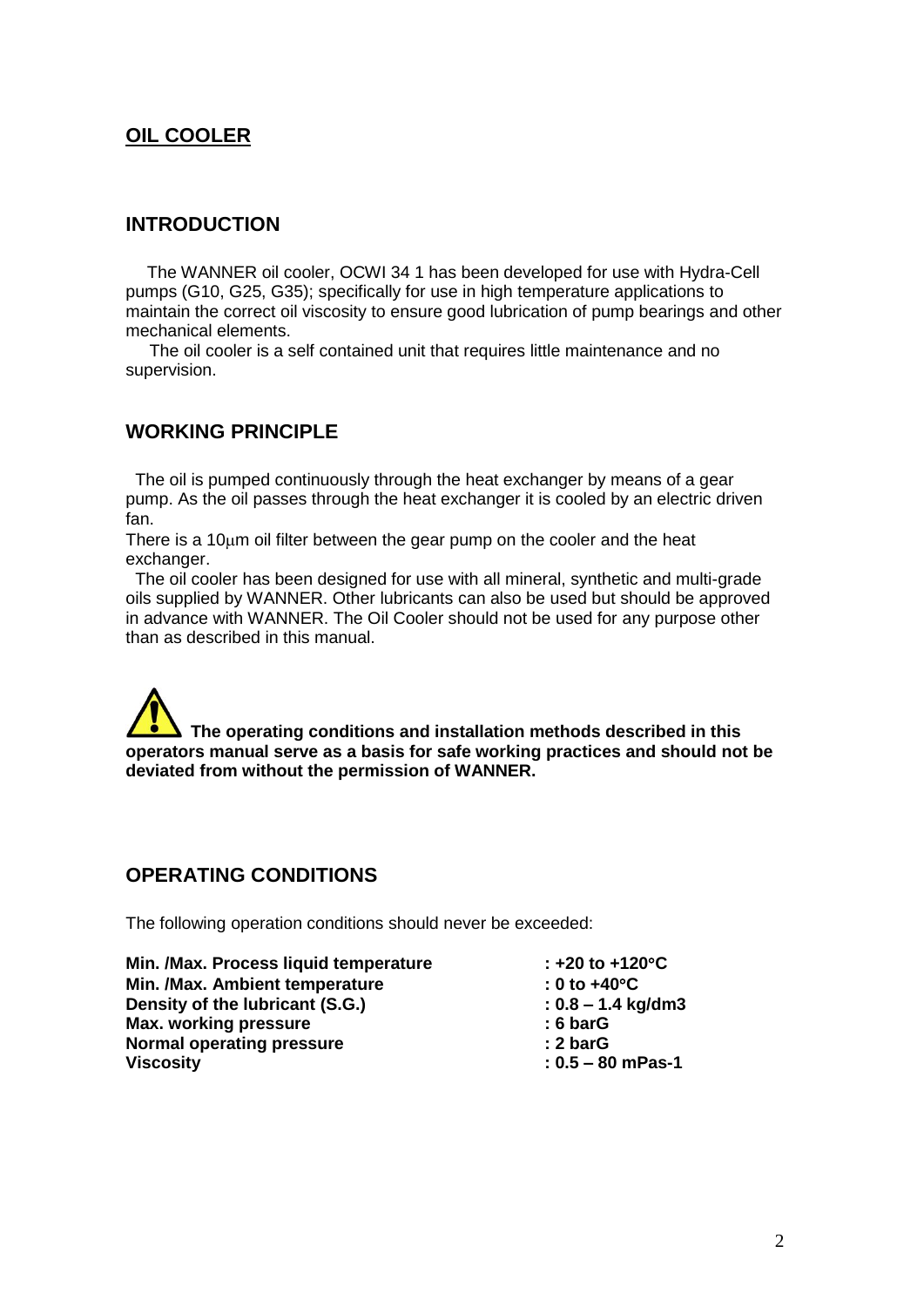### **OIL COOLER**

#### **INTRODUCTION**

 The WANNER oil cooler, OCWI 34 1 has been developed for use with Hydra-Cell pumps (G10, G25, G35); specifically for use in high temperature applications to maintain the correct oil viscosity to ensure good lubrication of pump bearings and other mechanical elements.

 The oil cooler is a self contained unit that requires little maintenance and no supervision.

#### **WORKING PRINCIPLE**

 The oil is pumped continuously through the heat exchanger by means of a gear pump. As the oil passes through the heat exchanger it is cooled by an electric driven fan.

There is a  $10<sub>\mu</sub>$  m oil filter between the gear pump on the cooler and the heat exchanger.

 The oil cooler has been designed for use with all mineral, synthetic and multi-grade oils supplied by WANNER. Other lubricants can also be used but should be approved in advance with WANNER. The Oil Cooler should not be used for any purpose other than as described in this manual.

 **The operating conditions and installation methods described in this operators manual serve as a basis for safe working practices and should not be deviated from without the permission of WANNER.**

#### **OPERATING CONDITIONS**

The following operation conditions should never be exceeded:

**Min. /Max. Process liquid temperature : +20 to +120C Min. /Max. Ambient temperature : 0 to +40C Density of the lubricant (S.G.) : 0.8 – 1.4 kg/dm3 Max. working pressure : 6 barG Normal operating pressure : 2 barG Viscosity : 0.5 – 80 mPas-1**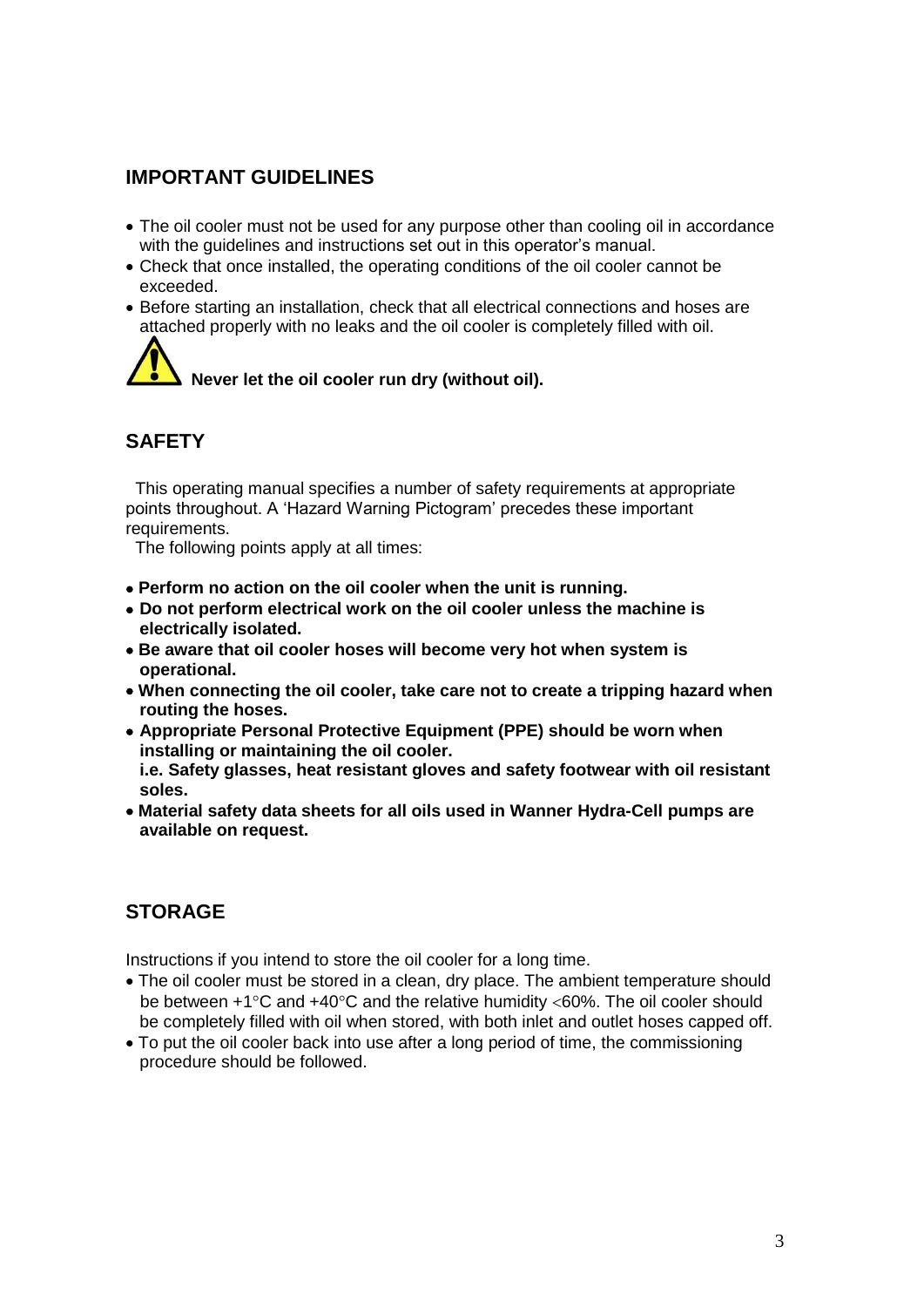### **IMPORTANT GUIDELINES**

- The oil cooler must not be used for any purpose other than cooling oil in accordance with the guidelines and instructions set out in this operator's manual.
- Check that once installed, the operating conditions of the oil cooler cannot be exceeded.
- Before starting an installation, check that all electrical connections and hoses are attached properly with no leaks and the oil cooler is completely filled with oil.

 **Never let the oil cooler run dry (without oil).**

# **SAFETY**

 This operating manual specifies a number of safety requirements at appropriate points throughout. A 'Hazard Warning Pictogram' precedes these important requirements.

The following points apply at all times:

- **Perform no action on the oil cooler when the unit is running.**
- **Do not perform electrical work on the oil cooler unless the machine is electrically isolated.**
- **Be aware that oil cooler hoses will become very hot when system is operational.**
- **When connecting the oil cooler, take care not to create a tripping hazard when routing the hoses.**
- **Appropriate Personal Protective Equipment (PPE) should be worn when installing or maintaining the oil cooler. i.e. Safety glasses, heat resistant gloves and safety footwear with oil resistant**
- **soles.**
- **Material safety data sheets for all oils used in Wanner Hydra-Cell pumps are available on request.**

# **STORAGE**

Instructions if you intend to store the oil cooler for a long time.

- The oil cooler must be stored in a clean, dry place. The ambient temperature should be between  $+1^{\circ}$ C and  $+40^{\circ}$ C and the relative humidity <60%. The oil cooler should be completely filled with oil when stored, with both inlet and outlet hoses capped off.
- To put the oil cooler back into use after a long period of time, the commissioning procedure should be followed.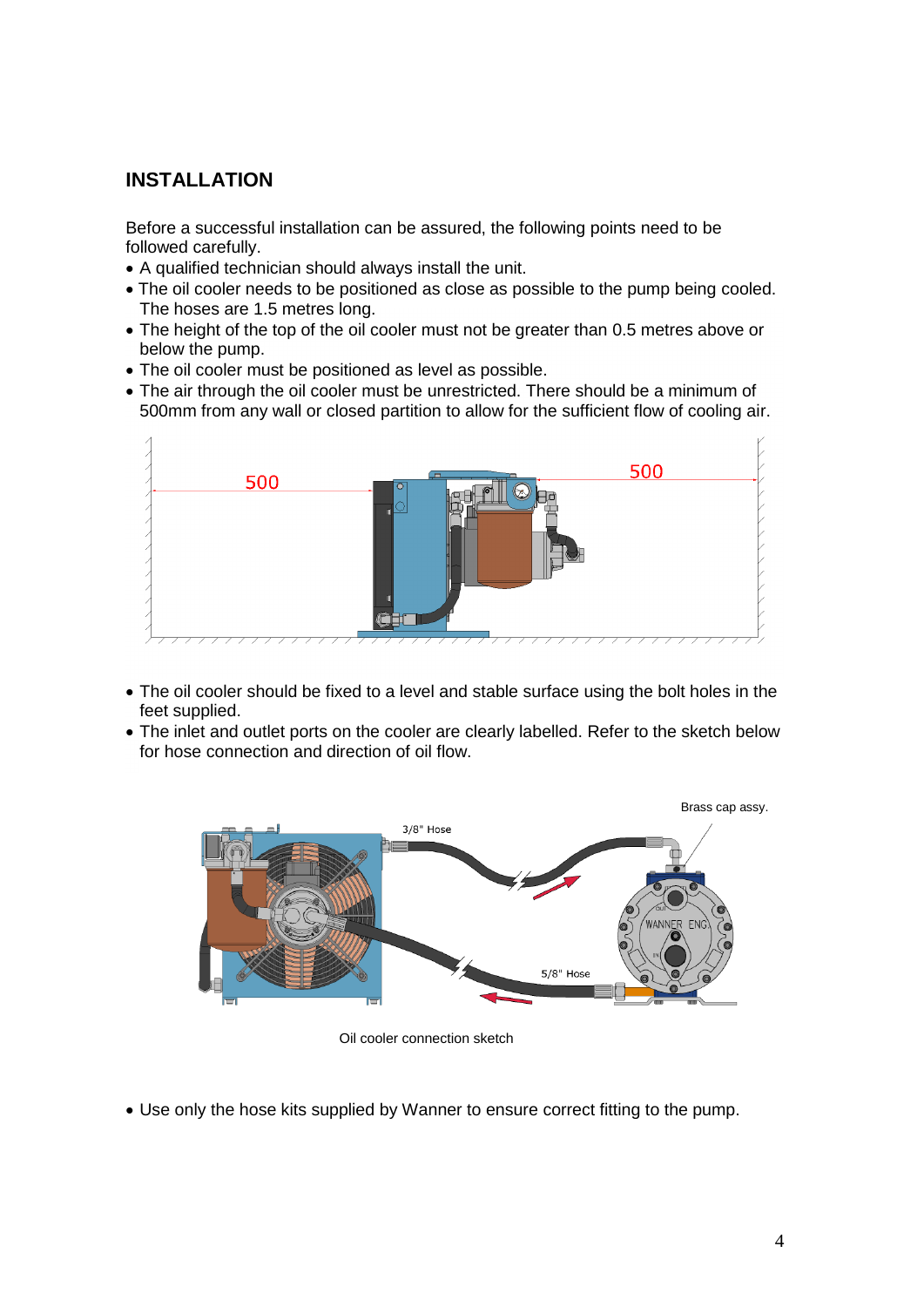### **INSTALLATION**

Before a successful installation can be assured, the following points need to be followed carefully.

- A qualified technician should always install the unit.
- The oil cooler needs to be positioned as close as possible to the pump being cooled. The hoses are 1.5 metres long.
- The height of the top of the oil cooler must not be greater than 0.5 metres above or below the pump.
- The oil cooler must be positioned as level as possible.
- The air through the oil cooler must be unrestricted. There should be a minimum of 500mm from any wall or closed partition to allow for the sufficient flow of cooling air.



- The oil cooler should be fixed to a level and stable surface using the bolt holes in the feet supplied.
- The inlet and outlet ports on the cooler are clearly labelled. Refer to the sketch below for hose connection and direction of oil flow.



Oil cooler connection sketch

Use only the hose kits supplied by Wanner to ensure correct fitting to the pump.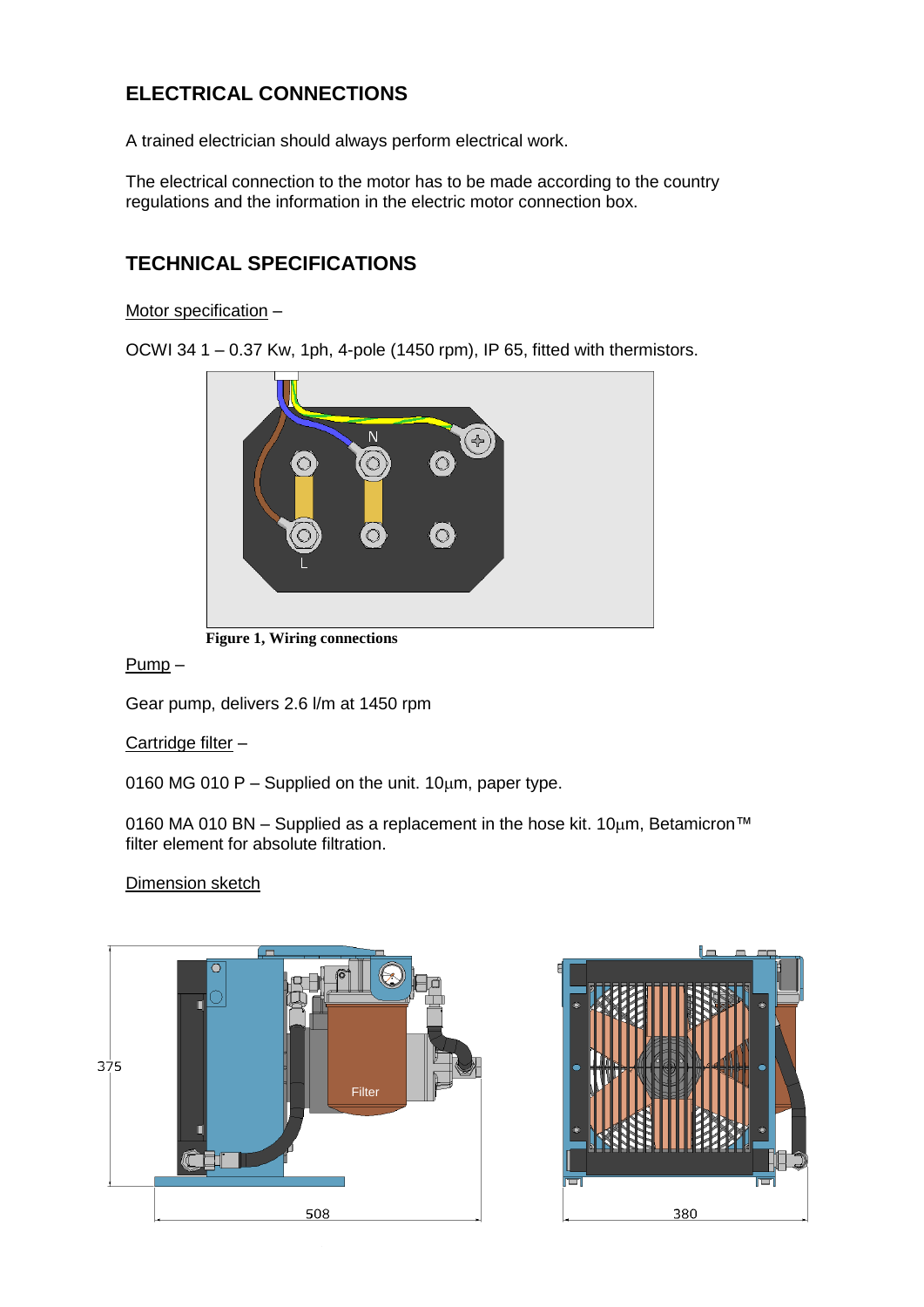# **ELECTRICAL CONNECTIONS**

A trained electrician should always perform electrical work.

The electrical connection to the motor has to be made according to the country regulations and the information in the electric motor connection box.

# **TECHNICAL SPECIFICATIONS**

Motor specification –

OCWI 34 1 – 0.37 Kw, 1ph, 4-pole (1450 rpm), IP 65, fitted with thermistors.





Pump –

Gear pump, delivers 2.6 l/m at 1450 rpm

#### Cartridge filter –

0160 MG 010 P – Supplied on the unit.  $10 \mu m$ , paper type.

0160 MA 010 BN – Supplied as a replacement in the hose kit. 10 $\mu$ m, Betamicron™ filter element for absolute filtration.

#### Dimension sketch



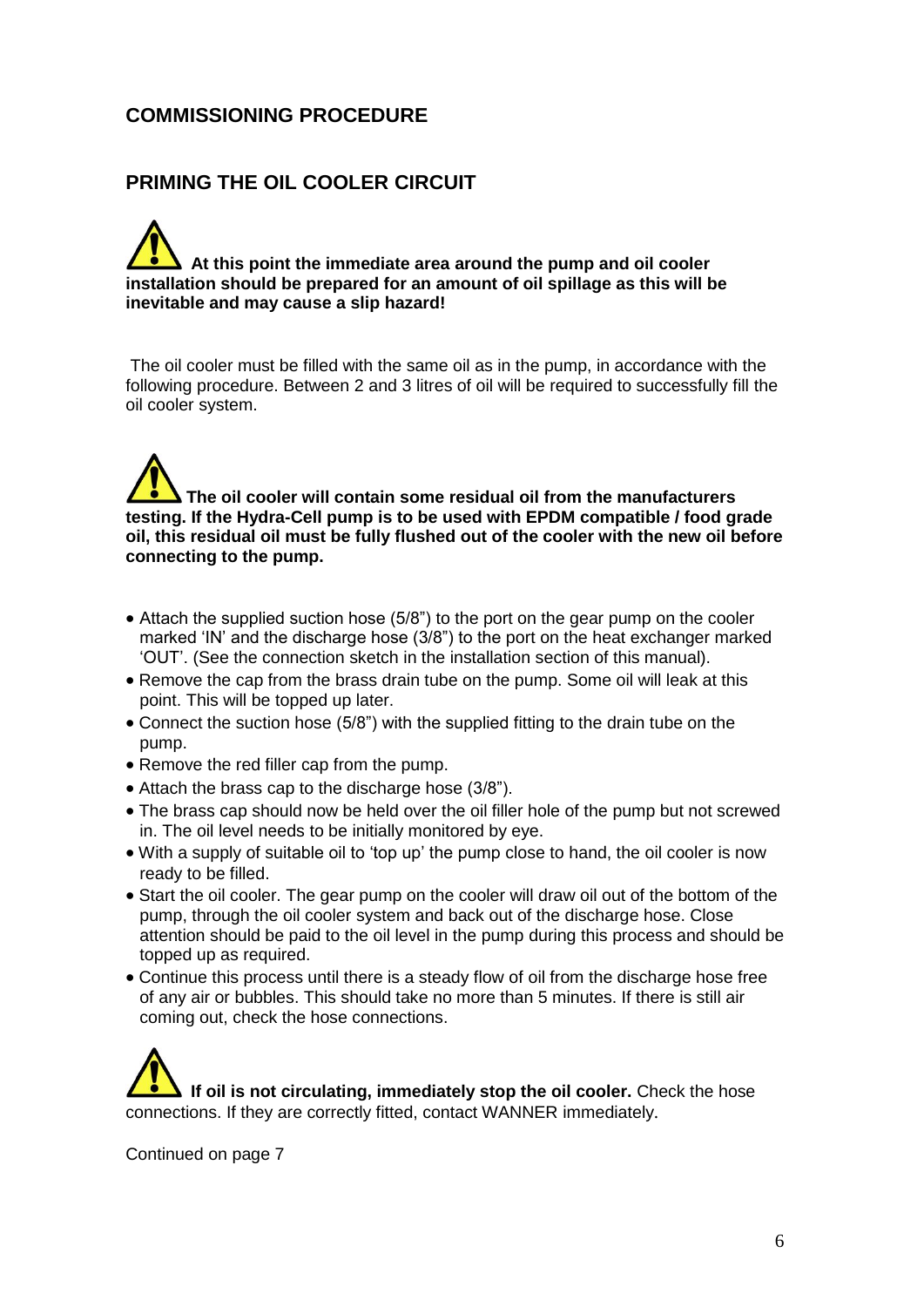### **COMMISSIONING PROCEDURE**

### **PRIMING THE OIL COOLER CIRCUIT**

# **At this point the immediate area around the pump and oil cooler installation should be prepared for an amount of oil spillage as this will be inevitable and may cause a slip hazard!**

The oil cooler must be filled with the same oil as in the pump, in accordance with the following procedure. Between 2 and 3 litres of oil will be required to successfully fill the oil cooler system.

# **The oil cooler will contain some residual oil from the manufacturers testing. If the Hydra-Cell pump is to be used with EPDM compatible / food grade oil, this residual oil must be fully flushed out of the cooler with the new oil before connecting to the pump.**

- Attach the supplied suction hose (5/8") to the port on the gear pump on the cooler marked 'IN' and the discharge hose (3/8") to the port on the heat exchanger marked 'OUT'. (See the connection sketch in the installation section of this manual).
- Remove the cap from the brass drain tube on the pump. Some oil will leak at this point. This will be topped up later.
- Connect the suction hose (5/8") with the supplied fitting to the drain tube on the pump.
- Remove the red filler cap from the pump.
- Attach the brass cap to the discharge hose (3/8").
- The brass cap should now be held over the oil filler hole of the pump but not screwed in. The oil level needs to be initially monitored by eye.
- With a supply of suitable oil to 'top up' the pump close to hand, the oil cooler is now ready to be filled.
- Start the oil cooler. The gear pump on the cooler will draw oil out of the bottom of the pump, through the oil cooler system and back out of the discharge hose. Close attention should be paid to the oil level in the pump during this process and should be topped up as required.
- Continue this process until there is a steady flow of oil from the discharge hose free of any air or bubbles. This should take no more than 5 minutes. If there is still air coming out, check the hose connections.

If oil is not circulating, immediately stop the oil cooler. Check the hose connections. If they are correctly fitted, contact WANNER immediately.

Continued on page 7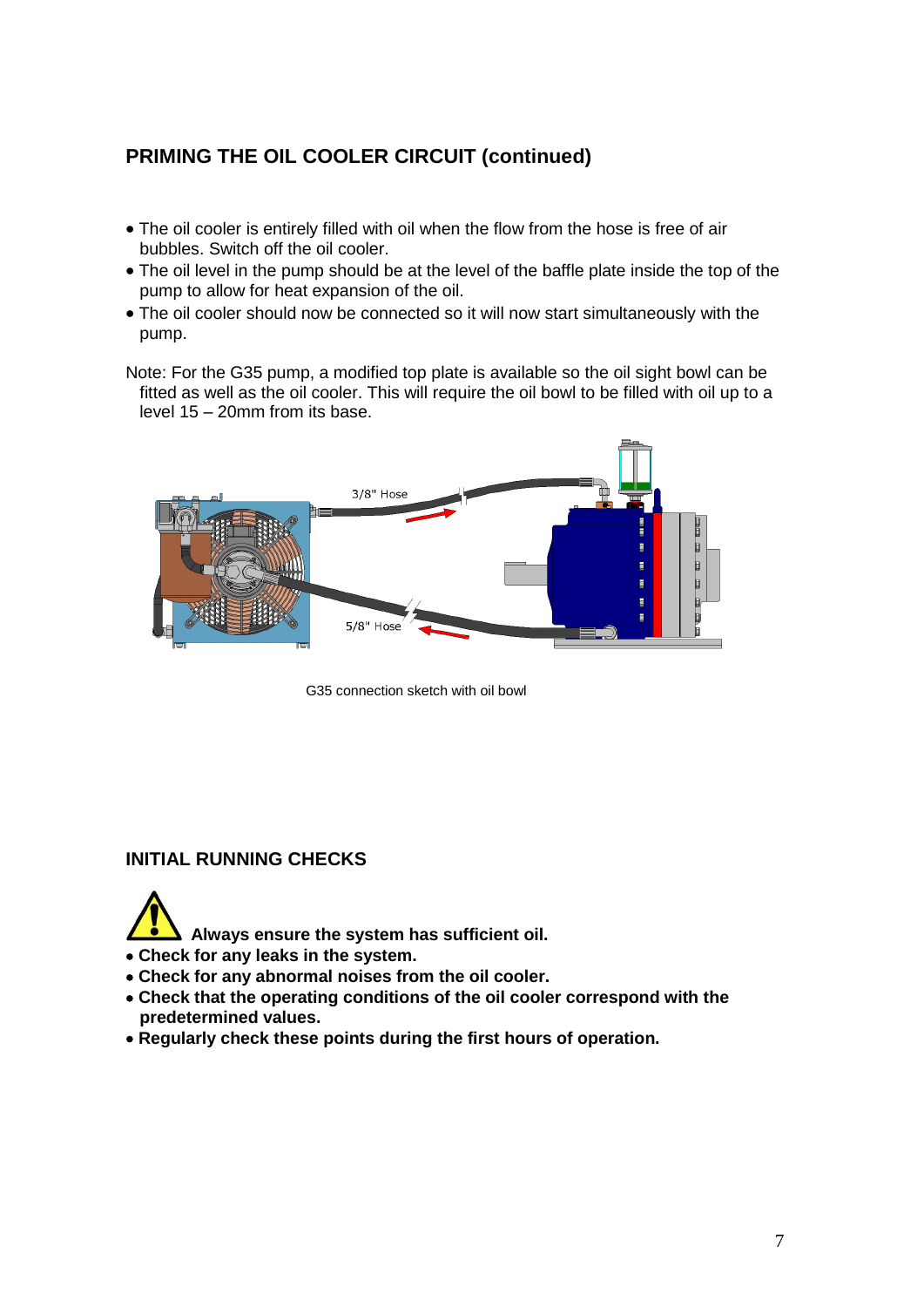# **PRIMING THE OIL COOLER CIRCUIT (continued)**

- The oil cooler is entirely filled with oil when the flow from the hose is free of air bubbles. Switch off the oil cooler.
- The oil level in the pump should be at the level of the baffle plate inside the top of the pump to allow for heat expansion of the oil.
- The oil cooler should now be connected so it will now start simultaneously with the pump.
- Note: For the G35 pump, a modified top plate is available so the oil sight bowl can be fitted as well as the oil cooler. This will require the oil bowl to be filled with oil up to a level 15 – 20mm from its base.



G35 connection sketch with oil bowl

#### **INITIAL RUNNING CHECKS**

**Always ensure the system has sufficient oil.**

- **Check for any leaks in the system.**
- **Check for any abnormal noises from the oil cooler.**
- **Check that the operating conditions of the oil cooler correspond with the predetermined values.**
- **Regularly check these points during the first hours of operation.**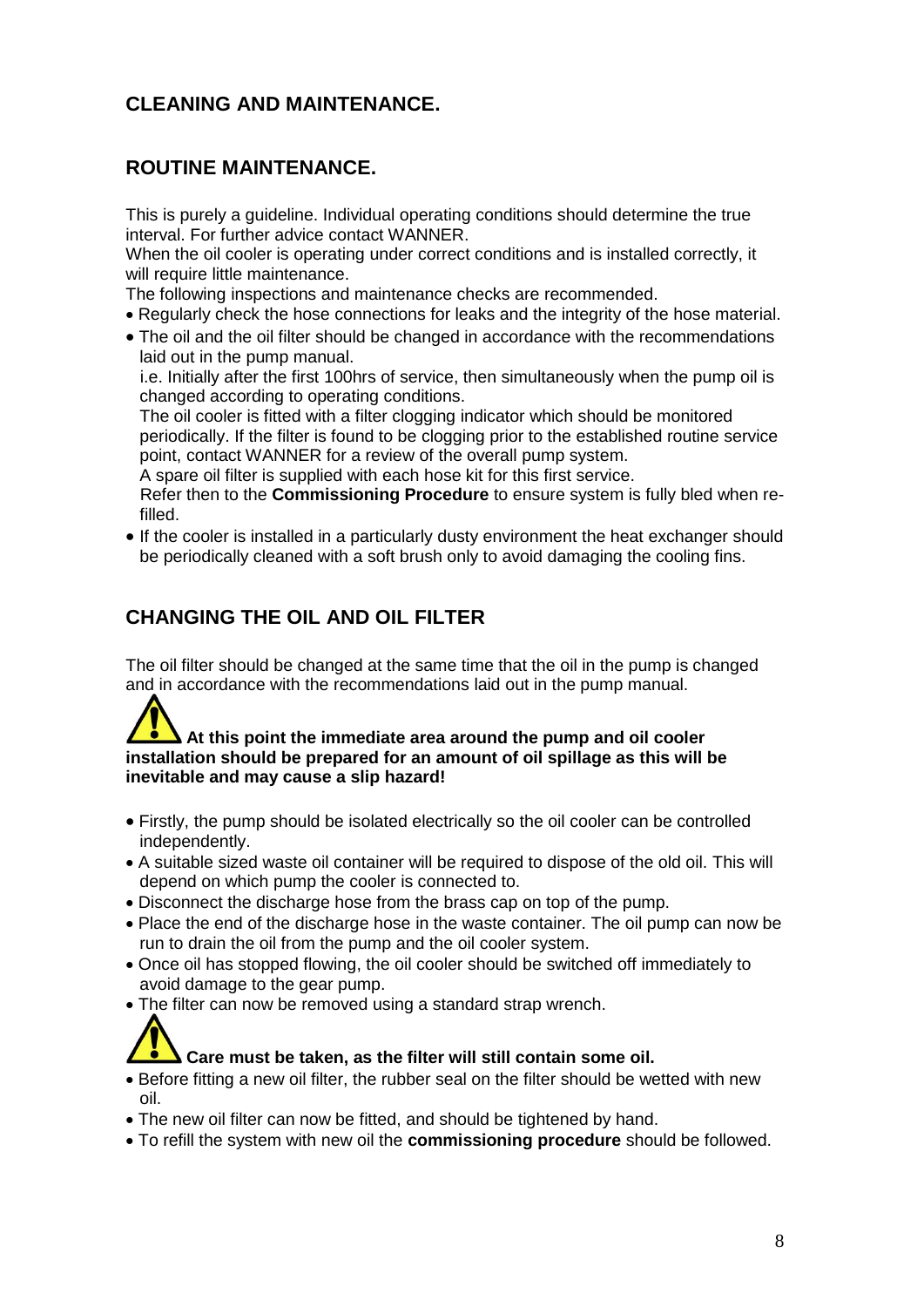## **CLEANING AND MAINTENANCE.**

### **ROUTINE MAINTENANCE.**

This is purely a guideline. Individual operating conditions should determine the true interval. For further advice contact WANNER.

When the oil cooler is operating under correct conditions and is installed correctly, it will require little maintenance.

The following inspections and maintenance checks are recommended.

- Regularly check the hose connections for leaks and the integrity of the hose material.
- The oil and the oil filter should be changed in accordance with the recommendations laid out in the pump manual.

 i.e. Initially after the first 100hrs of service, then simultaneously when the pump oil is changed according to operating conditions.

The oil cooler is fitted with a filter clogging indicator which should be monitored periodically. If the filter is found to be clogging prior to the established routine service point, contact WANNER for a review of the overall pump system.

A spare oil filter is supplied with each hose kit for this first service.

 Refer then to the **Commissioning Procedure** to ensure system is fully bled when refilled.

 If the cooler is installed in a particularly dusty environment the heat exchanger should be periodically cleaned with a soft brush only to avoid damaging the cooling fins.

## **CHANGING THE OIL AND OIL FILTER**

The oil filter should be changed at the same time that the oil in the pump is changed and in accordance with the recommendations laid out in the pump manual.

#### **At this point the immediate area around the pump and oil cooler installation should be prepared for an amount of oil spillage as this will be inevitable and may cause a slip hazard!**

- Firstly, the pump should be isolated electrically so the oil cooler can be controlled independently.
- A suitable sized waste oil container will be required to dispose of the old oil. This will depend on which pump the cooler is connected to.
- Disconnect the discharge hose from the brass cap on top of the pump.
- Place the end of the discharge hose in the waste container. The oil pump can now be run to drain the oil from the pump and the oil cooler system.
- Once oil has stopped flowing, the oil cooler should be switched off immediately to avoid damage to the gear pump.
- The filter can now be removed using a standard strap wrench.

# **Care must be taken, as the filter will still contain some oil.**

- Before fitting a new oil filter, the rubber seal on the filter should be wetted with new oil.
- The new oil filter can now be fitted, and should be tightened by hand.
- To refill the system with new oil the **commissioning procedure** should be followed.